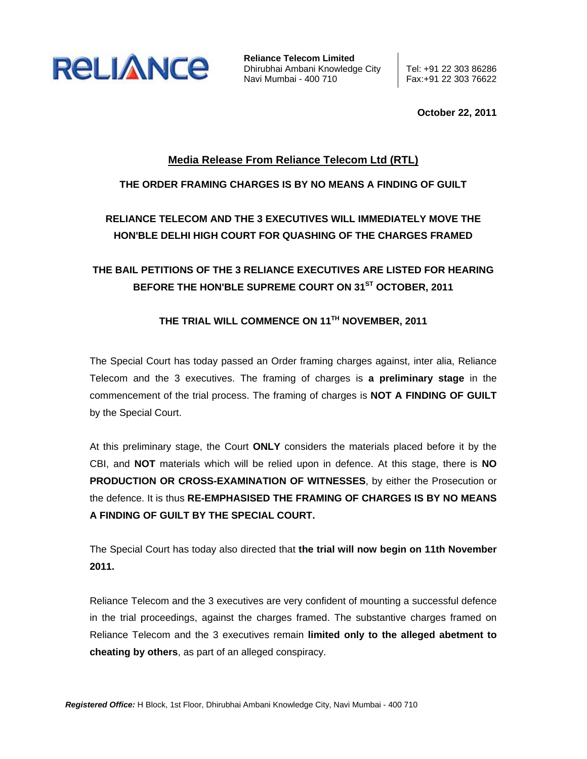

**Reliance Telecom Limited** Dhirubhai Ambani Knowledge City | Tel: +91 22 303 86286 Navi Mumbai - 400 710 Fax:+91 22 303 76622

**October 22, 2011**

### **Media Release From Reliance Telecom Ltd (RTL)**

#### **THE ORDER FRAMING CHARGES IS BY NO MEANS A FINDING OF GUILT**

## **RELIANCE TELECOM AND THE 3 EXECUTIVES WILL IMMEDIATELY MOVE THE HON'BLE DELHI HIGH COURT FOR QUASHING OF THE CHARGES FRAMED**

# **THE BAIL PETITIONS OF THE 3 RELIANCE EXECUTIVES ARE LISTED FOR HEARING**  BEFORE THE HON'BLE SUPREME COURT ON 31<sup>ST</sup> OCTOBER, 2011

## **THE TRIAL WILL COMMENCE ON 11TH NOVEMBER, 2011**

The Special Court has today passed an Order framing charges against, inter alia, Reliance Telecom and the 3 executives. The framing of charges is **a preliminary stage** in the commencement of the trial process. The framing of charges is **NOT A FINDING OF GUILT** by the Special Court.

At this preliminary stage, the Court **ONLY** considers the materials placed before it by the CBI, and **NOT** materials which will be relied upon in defence. At this stage, there is **NO PRODUCTION OR CROSS-EXAMINATION OF WITNESSES**, by either the Prosecution or the defence. It is thus **RE-EMPHASISED THE FRAMING OF CHARGES IS BY NO MEANS A FINDING OF GUILT BY THE SPECIAL COURT.** 

The Special Court has today also directed that **the trial will now begin on 11th November 2011.**

Reliance Telecom and the 3 executives are very confident of mounting a successful defence in the trial proceedings, against the charges framed. The substantive charges framed on Reliance Telecom and the 3 executives remain **limited only to the alleged abetment to cheating by others**, as part of an alleged conspiracy.